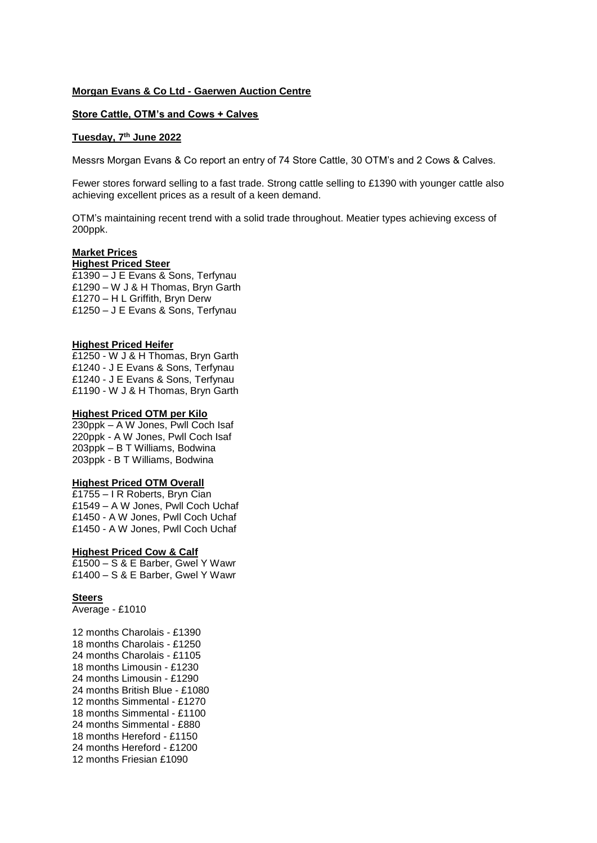## **Morgan Evans & Co Ltd - Gaerwen Auction Centre**

# **Store Cattle, OTM's and Cows + Calves**

# **Tuesday, 7th June 2022**

Messrs Morgan Evans & Co report an entry of 74 Store Cattle, 30 OTM's and 2 Cows & Calves.

Fewer stores forward selling to a fast trade. Strong cattle selling to £1390 with younger cattle also achieving excellent prices as a result of a keen demand.

OTM's maintaining recent trend with a solid trade throughout. Meatier types achieving excess of 200ppk.

#### **Market Prices Highest Priced Steer**

£1390 – J E Evans & Sons, Terfynau £1290 – W J & H Thomas, Bryn Garth £1270 – H L Griffith, Bryn Derw £1250 – J E Evans & Sons, Terfynau

### **Highest Priced Heifer**

£1250 - W J & H Thomas, Bryn Garth £1240 - J E Evans & Sons, Terfynau £1240 - J E Evans & Sons, Terfynau £1190 - W J & H Thomas, Bryn Garth

### **Highest Priced OTM per Kilo**

230ppk – A W Jones, Pwll Coch Isaf 220ppk - A W Jones, Pwll Coch Isaf 203ppk – B T Williams, Bodwina 203ppk - B T Williams, Bodwina

#### **Highest Priced OTM Overall**

£1755 – I R Roberts, Bryn Cian £1549 – A W Jones, Pwll Coch Uchaf £1450 - A W Jones, Pwll Coch Uchaf £1450 - A W Jones, Pwll Coch Uchaf

## **Highest Priced Cow & Calf**

£1500 – S & E Barber, Gwel Y Wawr £1400 – S & E Barber, Gwel Y Wawr

### **Steers**

Average - £1010

12 months Charolais - £1390 18 months Charolais - £1250 24 months Charolais - £1105 18 months Limousin - £1230 24 months Limousin - £1290 24 months British Blue - £1080 12 months Simmental - £1270 18 months Simmental - £1100 24 months Simmental - £880 18 months Hereford - £1150 24 months Hereford - £1200 12 months Friesian £1090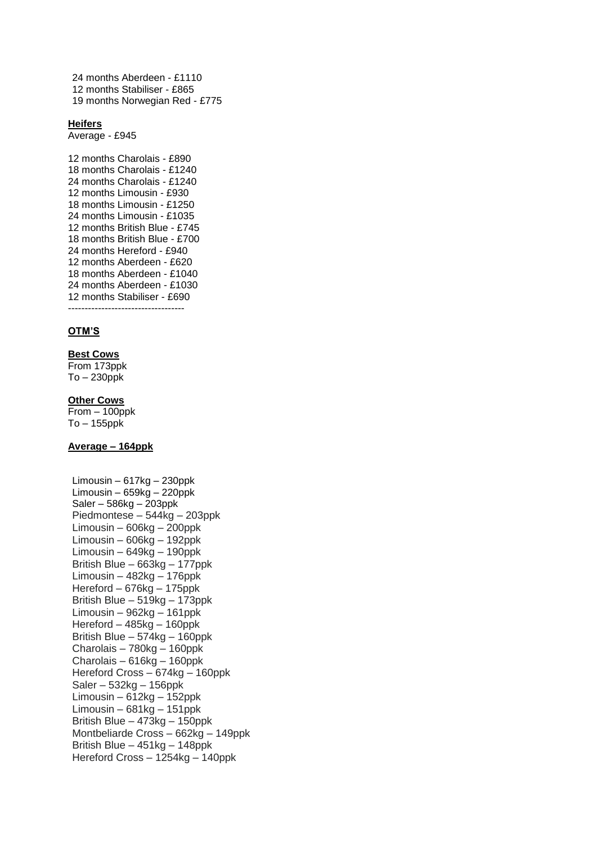24 months Aberdeen - £1110 12 months Stabiliser - £865 19 months Norwegian Red - £775

### **Heifers**

Average - £945

12 months Charolais - £890 18 months Charolais - £1240 24 months Charolais - £1240 12 months Limousin - £930 18 months Limousin - £1250 24 months Limousin - £1035 12 months British Blue - £745 18 months British Blue - £700 24 months Hereford - £940 12 months Aberdeen - £620 18 months Aberdeen - £1040 24 months Aberdeen - £1030 12 months Stabiliser - £690  $-$ 

#### **OTM'S**

#### **Best Cows**

From 173ppk To – 230ppk

# **Other Cows**

From – 100ppk To – 155ppk

# **Average – 164ppk**

Limousin – 617kg – 230ppk Limousin –  $659kg - 220ppk$ Saler – 586kg – 203ppk Piedmontese – 544kg – 203ppk Limousin – 606kg – 200ppk Limousin – 606kg – 192ppk Limousin – 649kg – 190ppk British Blue – 663kg – 177ppk Limousin – 482kg – 176ppk Hereford – 676kg – 175ppk British Blue – 519kg – 173ppk Limousin – 962kg – 161ppk Hereford – 485kg – 160ppk British Blue – 574kg – 160ppk Charolais – 780kg – 160ppk Charolais – 616kg – 160ppk Hereford Cross – 674kg – 160ppk Saler – 532kg – 156ppk Limousin – 612kg – 152ppk Limousin –  $681kg - 151ppk$ British Blue – 473kg – 150ppk Montbeliarde Cross – 662kg – 149ppk British Blue – 451kg – 148ppk Hereford Cross – 1254kg – 140ppk